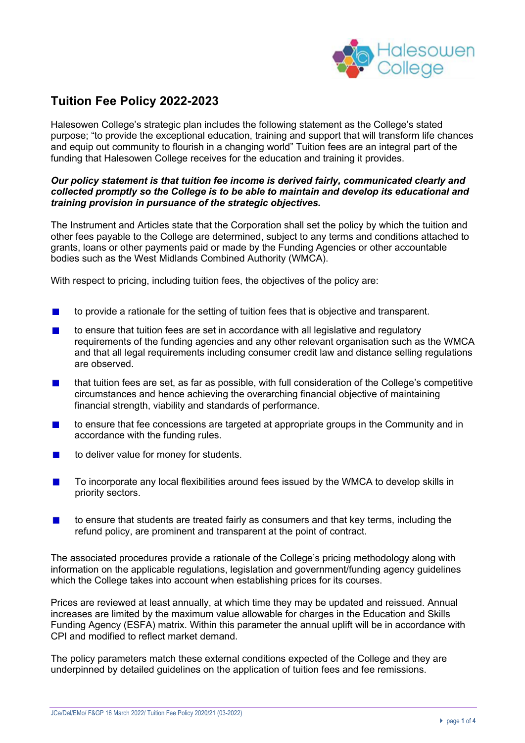

# **Tuition Fee Policy 2022-2023**

Halesowen College's strategic plan includes the following statement as the College's stated purpose; "to provide the exceptional education, training and support that will transform life chances and equip out community to flourish in a changing world" Tuition fees are an integral part of the funding that Halesowen College receives for the education and training it provides.

#### *Our policy statement is that tuition fee income is derived fairly, communicated clearly and collected promptly so the College is to be able to maintain and develop its educational and training provision in pursuance of the strategic objectives.*

The Instrument and Articles state that the Corporation shall set the policy by which the tuition and other fees payable to the College are determined, subject to any terms and conditions attached to grants, loans or other payments paid or made by the Funding Agencies or other accountable bodies such as the West Midlands Combined Authority (WMCA).

With respect to pricing, including tuition fees, the objectives of the policy are:

- to provide a rationale for the setting of tuition fees that is objective and transparent.
- to ensure that tuition fees are set in accordance with all legislative and regulatory requirements of the funding agencies and any other relevant organisation such as the WMCA and that all legal requirements including consumer credit law and distance selling regulations are observed.
- that tuition fees are set, as far as possible, with full consideration of the College's competitive circumstances and hence achieving the overarching financial objective of maintaining financial strength, viability and standards of performance.
- to ensure that fee concessions are targeted at appropriate groups in the Community and in accordance with the funding rules.
- to deliver value for money for students.
- To incorporate any local flexibilities around fees issued by the WMCA to develop skills in priority sectors.
- to ensure that students are treated fairly as consumers and that key terms, including the refund policy, are prominent and transparent at the point of contract.

The associated procedures provide a rationale of the College's pricing methodology along with information on the applicable regulations, legislation and government/funding agency guidelines which the College takes into account when establishing prices for its courses.

Prices are reviewed at least annually, at which time they may be updated and reissued. Annual increases are limited by the maximum value allowable for charges in the Education and Skills Funding Agency (ESFA) matrix. Within this parameter the annual uplift will be in accordance with CPI and modified to reflect market demand.

The policy parameters match these external conditions expected of the College and they are underpinned by detailed guidelines on the application of tuition fees and fee remissions.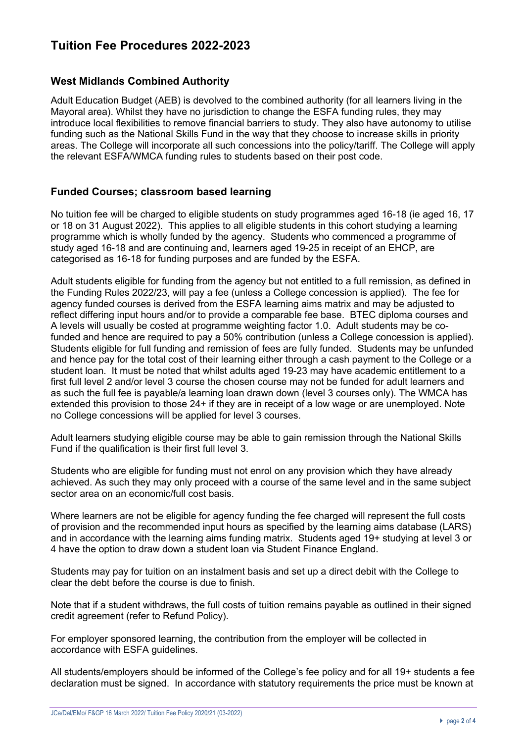# **Tuition Fee Procedures 2022-2023**

## **West Midlands Combined Authority**

Adult Education Budget (AEB) is devolved to the combined authority (for all learners living in the Mayoral area). Whilst they have no jurisdiction to change the ESFA funding rules, they may introduce local flexibilities to remove financial barriers to study. They also have autonomy to utilise funding such as the National Skills Fund in the way that they choose to increase skills in priority areas. The College will incorporate all such concessions into the policy/tariff. The College will apply the relevant ESFA/WMCA funding rules to students based on their post code.

## **Funded Courses; classroom based learning**

No tuition fee will be charged to eligible students on study programmes aged 16-18 (ie aged 16, 17 or 18 on 31 August 2022). This applies to all eligible students in this cohort studying a learning programme which is wholly funded by the agency. Students who commenced a programme of study aged 16-18 and are continuing and, learners aged 19-25 in receipt of an EHCP, are categorised as 16-18 for funding purposes and are funded by the ESFA.

Adult students eligible for funding from the agency but not entitled to a full remission, as defined in the Funding Rules 2022/23, will pay a fee (unless a College concession is applied). The fee for agency funded courses is derived from the ESFA learning aims matrix and may be adjusted to reflect differing input hours and/or to provide a comparable fee base. BTEC diploma courses and A levels will usually be costed at programme weighting factor 1.0. Adult students may be cofunded and hence are required to pay a 50% contribution (unless a College concession is applied). Students eligible for full funding and remission of fees are fully funded. Students may be unfunded and hence pay for the total cost of their learning either through a cash payment to the College or a student loan. It must be noted that whilst adults aged 19-23 may have academic entitlement to a first full level 2 and/or level 3 course the chosen course may not be funded for adult learners and as such the full fee is payable/a learning loan drawn down (level 3 courses only). The WMCA has extended this provision to those 24+ if they are in receipt of a low wage or are unemployed. Note no College concessions will be applied for level 3 courses.

Adult learners studying eligible course may be able to gain remission through the National Skills Fund if the qualification is their first full level 3.

Students who are eligible for funding must not enrol on any provision which they have already achieved. As such they may only proceed with a course of the same level and in the same subject sector area on an economic/full cost basis.

Where learners are not be eligible for agency funding the fee charged will represent the full costs of provision and the recommended input hours as specified by the learning aims database (LARS) and in accordance with the learning aims funding matrix. Students aged 19+ studying at level 3 or 4 have the option to draw down a student loan via Student Finance England.

Students may pay for tuition on an instalment basis and set up a direct debit with the College to clear the debt before the course is due to finish.

Note that if a student withdraws, the full costs of tuition remains payable as outlined in their signed credit agreement (refer to Refund Policy).

For employer sponsored learning, the contribution from the employer will be collected in accordance with ESFA guidelines.

All students/employers should be informed of the College's fee policy and for all 19+ students a fee declaration must be signed. In accordance with statutory requirements the price must be known at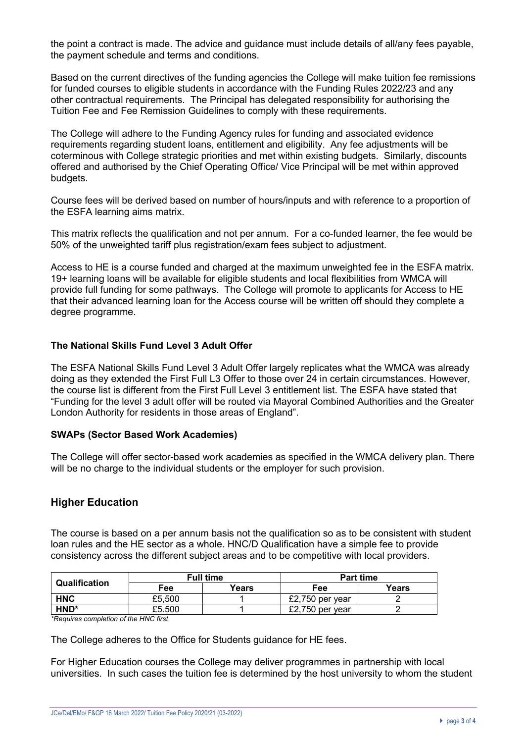the point a contract is made. The advice and guidance must include details of all/any fees payable, the payment schedule and terms and conditions.

Based on the current directives of the funding agencies the College will make tuition fee remissions for funded courses to eligible students in accordance with the Funding Rules 2022/23 and any other contractual requirements. The Principal has delegated responsibility for authorising the Tuition Fee and Fee Remission Guidelines to comply with these requirements.

The College will adhere to the Funding Agency rules for funding and associated evidence requirements regarding student loans, entitlement and eligibility. Any fee adjustments will be coterminous with College strategic priorities and met within existing budgets. Similarly, discounts offered and authorised by the Chief Operating Office/ Vice Principal will be met within approved budgets.

Course fees will be derived based on number of hours/inputs and with reference to a proportion of the ESFA learning aims matrix.

This matrix reflects the qualification and not per annum. For a co-funded learner, the fee would be 50% of the unweighted tariff plus registration/exam fees subject to adjustment.

Access to HE is a course funded and charged at the maximum unweighted fee in the ESFA matrix. 19+ learning loans will be available for eligible students and local flexibilities from WMCA will provide full funding for some pathways. The College will promote to applicants for Access to HE that their advanced learning loan for the Access course will be written off should they complete a degree programme.

## **The National Skills Fund Level 3 Adult Offer**

The ESFA National Skills Fund Level 3 Adult Offer largely replicates what the WMCA was already doing as they extended the First Full L3 Offer to those over 24 in certain circumstances. However, the course list is different from the First Full Level 3 entitlement list. The ESFA have stated that "Funding for the level 3 adult offer will be routed via Mayoral Combined Authorities and the Greater London Authority for residents in those areas of England".

### **SWAPs (Sector Based Work Academies)**

The College will offer sector-based work academies as specified in the WMCA delivery plan. There will be no charge to the individual students or the employer for such provision.

### **Higher Education**

The course is based on a per annum basis not the qualification so as to be consistent with student loan rules and the HE sector as a whole. HNC/D Qualification have a simple fee to provide consistency across the different subject areas and to be competitive with local providers.

| <b>Qualification</b> | <b>Full time</b> |       | <b>Part time</b> |       |
|----------------------|------------------|-------|------------------|-------|
|                      | Fee              | Years | Fee              | Years |
| <b>HNC</b>           | £5,500           |       | £2,750 per year  |       |
| HND*                 | £5,500           |       | £2,750 per year  |       |

*\*Requires completion of the HNC first*

The College adheres to the Office for Students guidance for HE fees.

For Higher Education courses the College may deliver programmes in partnership with local universities. In such cases the tuition fee is determined by the host university to whom the student